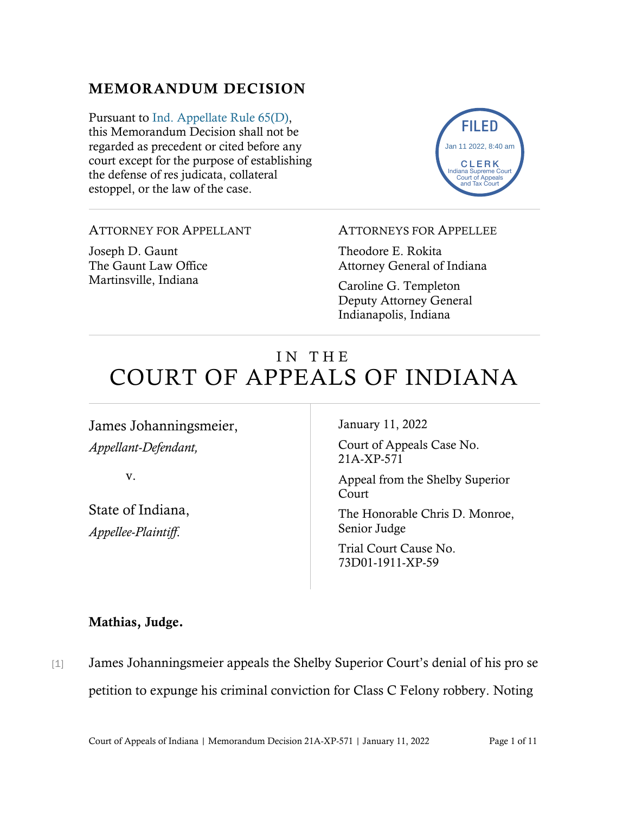# MEMORANDUM DECISION

Pursuant to [Ind. Appellate Rule 65\(D\),](https://www.westlaw.com/Document/N9F7F97E10B2B11EAB3BAC09E1BEAB78F/View/FullText.html?transitionType=Default&contextData=(sc.Default)&VR=3.0&RS=da3.0) this Memorandum Decision shall not be regarded as precedent or cited before any court except for the purpose of establishing the defense of res judicata, collateral estoppel, or the law of the case.



## ATTORNEY FOR APPELLANT

Joseph D. Gaunt The Gaunt Law Office Martinsville, Indiana

### ATTORNEYS FOR APPELLEE

Theodore E. Rokita Attorney General of Indiana

Caroline G. Templeton Deputy Attorney General Indianapolis, Indiana

# IN THE COURT OF APPEALS OF INDIANA

James Johanningsmeier, *Appellant-Defendant,*

v.

State of Indiana, *Appellee-Plaintiff*.

January 11, 2022

Court of Appeals Case No. 21A-XP-571

Appeal from the Shelby Superior Court

The Honorable Chris D. Monroe, Senior Judge

Trial Court Cause No. 73D01-1911-XP-59

## Mathias, Judge.

[1] James Johanningsmeier appeals the Shelby Superior Court's denial of his pro se petition to expunge his criminal conviction for Class C Felony robbery. Noting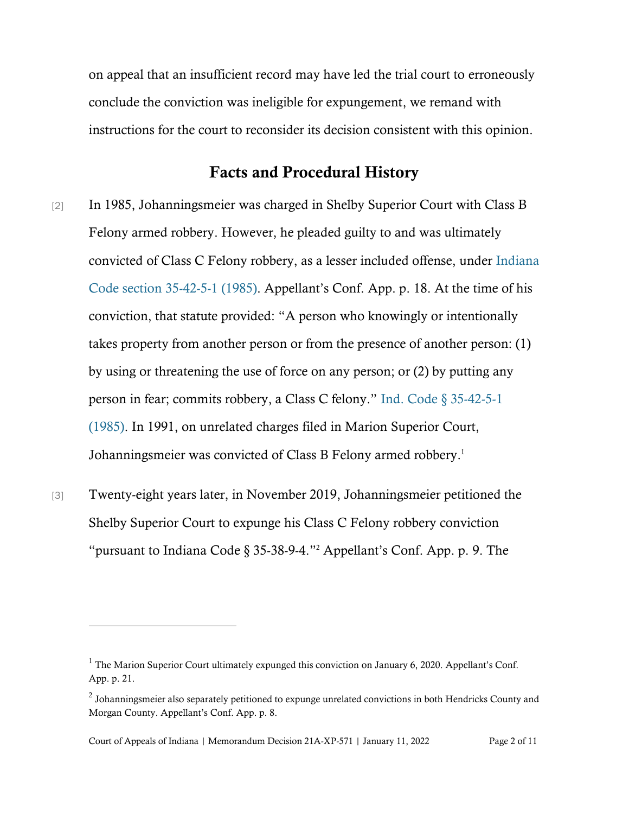on appeal that an insufficient record may have led the trial court to erroneously conclude the conviction was ineligible for expungement, we remand with instructions for the court to reconsider its decision consistent with this opinion.

## Facts and Procedural History

- [2] In 1985, Johanningsmeier was charged in Shelby Superior Court with Class B Felony armed robbery. However, he pleaded guilty to and was ultimately convicted of Class C Felony robbery, as a lesser included offense, under [Indiana](https://www.westlaw.com/Document/N4B5D6410817511DB8132CD13D2280436/View/FullText.html?transitionType=Default&contextData=(sc.Default)&VR=3.0&RS=cblt1.0)  [Code section 35-42-5-1 \(1985\).](https://www.westlaw.com/Document/N4B5D6410817511DB8132CD13D2280436/View/FullText.html?transitionType=Default&contextData=(sc.Default)&VR=3.0&RS=cblt1.0) Appellant's Conf. App. p. 18. At the time of his conviction, that statute provided: "A person who knowingly or intentionally takes property from another person or from the presence of another person: (1) by using or threatening the use of force on any person; or (2) by putting any person in fear; commits robbery, a Class C felony." Ind. Code § [35-42-5-1](https://www.westlaw.com/Document/N4B5D6410817511DB8132CD13D2280436/View/FullText.html?transitionType=Default&contextData=(sc.Default)&VR=3.0&RS=cblt1.0)  [\(1985\).](https://www.westlaw.com/Document/N4B5D6410817511DB8132CD13D2280436/View/FullText.html?transitionType=Default&contextData=(sc.Default)&VR=3.0&RS=cblt1.0) In 1991, on unrelated charges filed in Marion Superior Court, Johanningsmeier was convicted of Class B Felony armed robbery. 1
- [3] Twenty-eight years later, in November 2019, Johanningsmeier petitioned the Shelby Superior Court to expunge his Class C Felony robbery conviction "pursuant to Indiana Code § 35-38-9-4."<sup>2</sup> Appellant's Conf. App. p. 9. The

<sup>&</sup>lt;sup>1</sup> The Marion Superior Court ultimately expunged this conviction on January 6, 2020. Appellant's Conf. App. p. 21.

 $^2$  Johanningsmeier also separately petitioned to expunge unrelated convictions in both Hendricks County and Morgan County. Appellant's Conf. App. p. 8.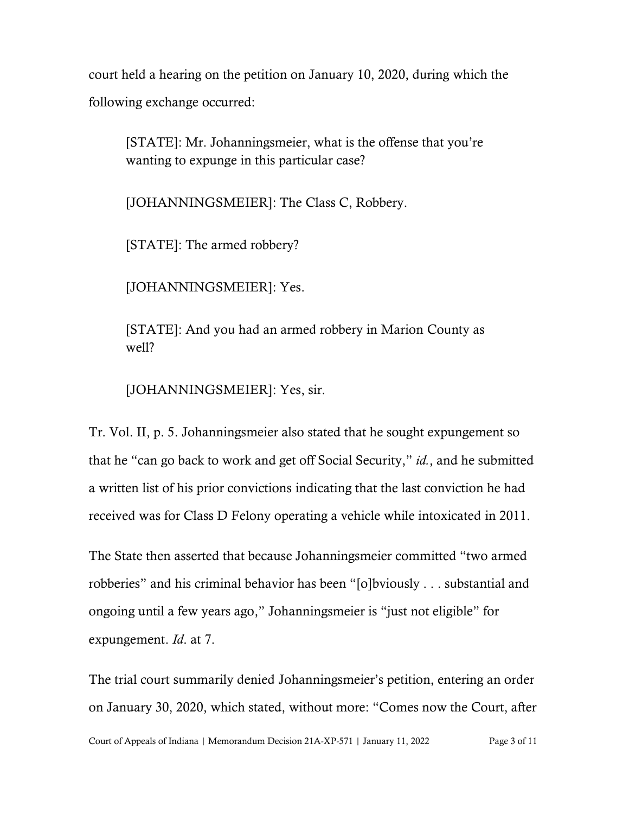court held a hearing on the petition on January 10, 2020, during which the following exchange occurred:

[STATE]: Mr. Johanningsmeier, what is the offense that you're wanting to expunge in this particular case?

[JOHANNINGSMEIER]: The Class C, Robbery.

[STATE]: The armed robbery?

[JOHANNINGSMEIER]: Yes.

[STATE]: And you had an armed robbery in Marion County as well?

[JOHANNINGSMEIER]: Yes, sir.

Tr. Vol. II, p. 5. Johanningsmeier also stated that he sought expungement so that he "can go back to work and get off Social Security," *id.*, and he submitted a written list of his prior convictions indicating that the last conviction he had received was for Class D Felony operating a vehicle while intoxicated in 2011.

The State then asserted that because Johanningsmeier committed "two armed robberies" and his criminal behavior has been "[o]bviously . . . substantial and ongoing until a few years ago," Johanningsmeier is "just not eligible" for expungement. *Id*. at 7.

Court of Appeals of Indiana | Memorandum Decision 21A-XP-571 | January 11, 2022 Page 3 of 11 The trial court summarily denied Johanningsmeier's petition, entering an order on January 30, 2020, which stated, without more: "Comes now the Court, after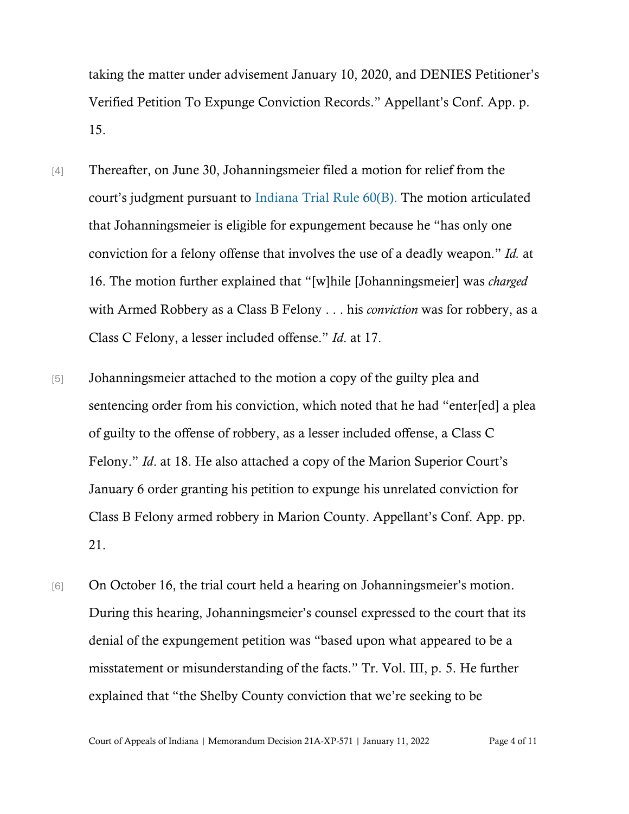taking the matter under advisement January 10, 2020, and DENIES Petitioner's Verified Petition To Expunge Conviction Records." Appellant's Conf. App. p. 15.

- [4] Thereafter, on June 30, Johanningsmeier filed a motion for relief from the court's judgment pursuant to [Indiana Trial Rule 60\(B\).](https://www.westlaw.com/Document/NDC5DDDC0922411DDBEB5CD2E2855D99B/View/FullText.html?transitionType=Default&contextData=(sc.Default)&VR=3.0&RS=da3.0) The motion articulated that Johanningsmeier is eligible for expungement because he "has only one conviction for a felony offense that involves the use of a deadly weapon." *Id.* at 16. The motion further explained that "[w]hile [Johanningsmeier] was *charged* with Armed Robbery as a Class B Felony . . . his *conviction* was for robbery, as a Class C Felony, a lesser included offense." *Id*. at 17.
- [5] Johanningsmeier attached to the motion a copy of the guilty plea and sentencing order from his conviction, which noted that he had "enter[ed] a plea of guilty to the offense of robbery, as a lesser included offense, a Class C Felony." *Id*. at 18. He also attached a copy of the Marion Superior Court's January 6 order granting his petition to expunge his unrelated conviction for Class B Felony armed robbery in Marion County. Appellant's Conf. App. pp. 21.
- [6] On October 16, the trial court held a hearing on Johanningsmeier's motion. During this hearing, Johanningsmeier's counsel expressed to the court that its denial of the expungement petition was "based upon what appeared to be a misstatement or misunderstanding of the facts." Tr. Vol. III, p. 5. He further explained that "the Shelby County conviction that we're seeking to be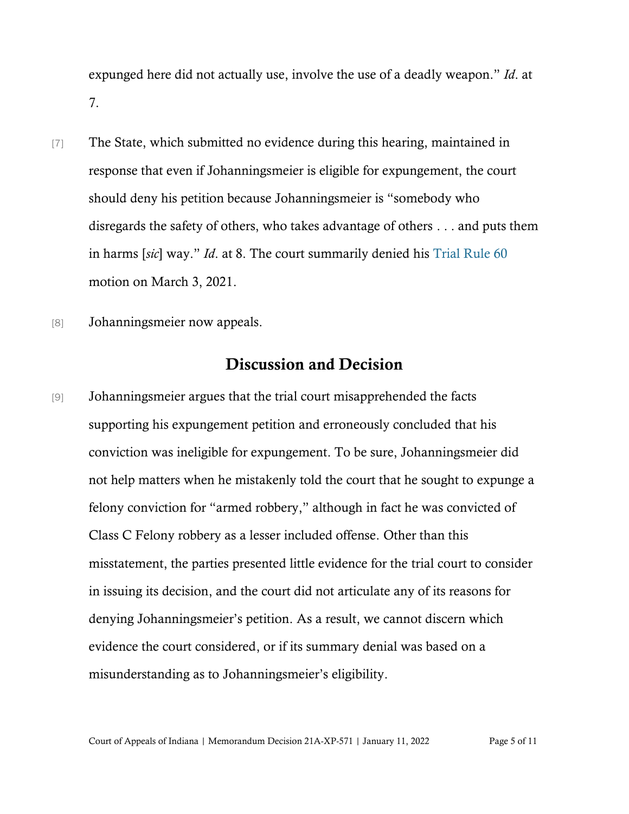expunged here did not actually use, involve the use of a deadly weapon." *Id*. at 7.

- [7] The State, which submitted no evidence during this hearing, maintained in response that even if Johanningsmeier is eligible for expungement, the court should deny his petition because Johanningsmeier is "somebody who disregards the safety of others, who takes advantage of others . . . and puts them in harms [*sic*] way." *Id*. at 8. The court summarily denied his [Trial R](https://www.westlaw.com/Document/NDC5DDDC0922411DDBEB5CD2E2855D99B/View/FullText.html?transitionType=Default&contextData=(sc.Default)&VR=3.0&RS=cblt1.0)ule 60 motion on March 3, 2021.
- [8] Johanningsmeier now appeals.

# Discussion and Decision

[9] Johanningsmeier argues that the trial court misapprehended the facts supporting his expungement petition and erroneously concluded that his conviction was ineligible for expungement. To be sure, Johanningsmeier did not help matters when he mistakenly told the court that he sought to expunge a felony conviction for "armed robbery," although in fact he was convicted of Class C Felony robbery as a lesser included offense. Other than this misstatement, the parties presented little evidence for the trial court to consider in issuing its decision, and the court did not articulate any of its reasons for denying Johanningsmeier's petition. As a result, we cannot discern which evidence the court considered, or if its summary denial was based on a misunderstanding as to Johanningsmeier's eligibility.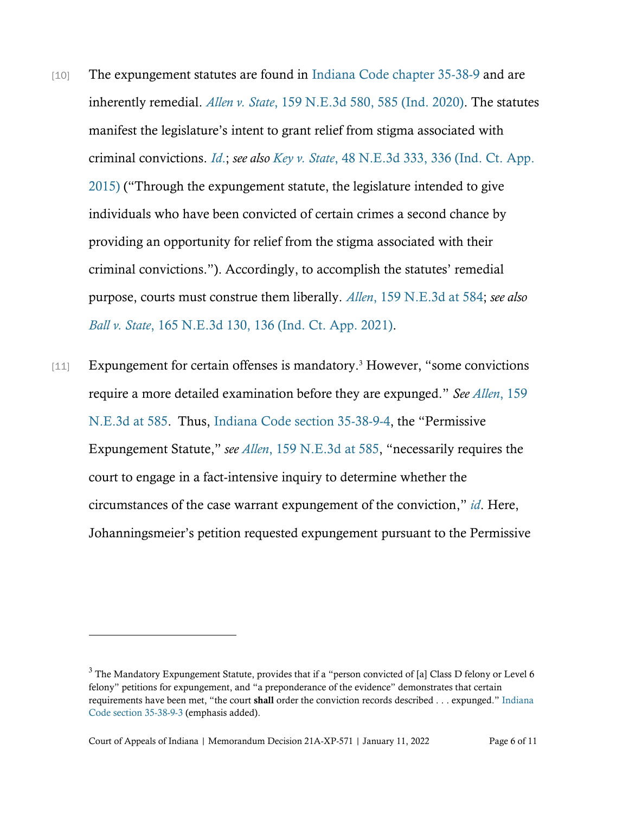- [10] The expungement statutes are found in [Indiana Code chapter 35-38-9](https://1.next.westlaw.com/Browse/Home/StatutesCourtRules/IndianaStatutesCourtRules?guid=ND330DF50D7C911E28641E2E2B81BC9DE&transitionType=DocumentItem&contextData=(sc.Document)) and are inherently remedial. *Allen v. State*[, 159 N.E.3d 580, 585](https://www.westlaw.com/Document/Ib8a214c044a311eb94d5d4e51cfa3c85/View/FullText.html?transitionType=Default&contextData=(sc.Default)&VR=3.0&RS=da3.0&fragmentIdentifier=co_pp_sp_7902_582) [\(Ind. 2020\).](https://www.westlaw.com/Document/Ib8a214c044a311eb94d5d4e51cfa3c85/View/FullText.html?transitionType=Default&contextData=(sc.Default)&VR=3.0&RS=da3.0&fragmentIdentifier=co_pp_sp_7902_582) The statutes manifest the legislature's intent to grant relief from stigma associated with criminal convictions. *[Id](https://www.westlaw.com/Document/Ib8a214c044a311eb94d5d4e51cfa3c85/View/FullText.html?transitionType=Default&contextData=(sc.Default)&VR=3.0&RS=da3.0)*[.;](https://www.westlaw.com/Document/Ib8a214c044a311eb94d5d4e51cfa3c85/View/FullText.html?transitionType=Default&contextData=(sc.Default)&VR=3.0&RS=da3.0) *see also Key v. State*[, 48 N.E.3d 333, 336 \(Ind. Ct. App.](https://1.next.westlaw.com/Link/Document/FullText?findType=Y&serNum=2037832445&pubNum=0007902&originatingDoc=Icbf54a30771911eb91b78705c7189b3d&refType=RP&originationContext=document&transitionType=DocumentItem&ppcid=66f25ff9088b4bc5bef18f7e1069ee77&contextData=(sc.Default)#co_pp_sp_7902_336)  [2015\)](https://1.next.westlaw.com/Link/Document/FullText?findType=Y&serNum=2037832445&pubNum=0007902&originatingDoc=Icbf54a30771911eb91b78705c7189b3d&refType=RP&originationContext=document&transitionType=DocumentItem&ppcid=66f25ff9088b4bc5bef18f7e1069ee77&contextData=(sc.Default)#co_pp_sp_7902_336) ("Through the expungement statute, the legislature intended to give individuals who have been convicted of certain crimes a second chance by providing an opportunity for relief from the stigma associated with their criminal convictions."). Accordingly, to accomplish the statutes' remedial purpose, courts must construe them liberally. *Allen*[, 159 N.E.3d](https://www.westlaw.com/Document/Ib8a214c044a311eb94d5d4e51cfa3c85/View/FullText.html?transitionType=Default&contextData=(sc.Default)&VR=3.0&RS=da3.0) [at 584;](https://www.westlaw.com/Document/Ib8a214c044a311eb94d5d4e51cfa3c85/View/FullText.html?transitionType=Default&contextData=(sc.Default)&VR=3.0&RS=da3.0) *see also Ball v. State*[, 165 N.E.3d 130, 136 \(Ind. Ct. App. 2021\).](https://www.westlaw.com/Document/Icbf54a30771911eb91b78705c7189b3d/View/FullText.html?transitionType=Default&contextData=(sc.Default)&VR=3.0&RS=da3.0&fragmentIdentifier=co_pp_sp_7902_136)
- [11] Expungement for certain offenses is mandatory.<sup>3</sup> However, "some convictions require a more detailed examination before they are expunged." *See Allen*[, 159](https://www.westlaw.com/Document/Ib8a214c044a311eb94d5d4e51cfa3c85/View/FullText.html?transitionType=Default&contextData=(sc.Default)&VR=3.0&RS=da3.0)  [N.E.3d at 585.](https://www.westlaw.com/Document/Ib8a214c044a311eb94d5d4e51cfa3c85/View/FullText.html?transitionType=Default&contextData=(sc.Default)&VR=3.0&RS=da3.0) Thus, [Indiana Code section 35-38-9-4,](https://www.westlaw.com/Document/N8B3574E0BF7411EBBFE89BEC03D13B2E/View/FullText.html?transitionType=Default&contextData=(sc.Default)&VR=3.0&RS=da3.0) the "Permissive Expungement Statute," *see Allen*, 159 [N.E.3d at 585,](https://www.westlaw.com/Document/Ib8a214c044a311eb94d5d4e51cfa3c85/View/FullText.html?transitionType=Default&contextData=(sc.Default)&VR=3.0&RS=da3.0) "necessarily requires the court to engage in a fact-intensive inquiry to determine whether the circumstances of the case warrant expungement of the conviction," *[id](https://www.westlaw.com/Document/Ib8a214c044a311eb94d5d4e51cfa3c85/View/FullText.html?transitionType=Default&contextData=(sc.Default)&VR=3.0&RS=da3.0)*. Here, Johanningsmeier's petition requested expungement pursuant to the Permissive

<sup>&</sup>lt;sup>3</sup> The Mandatory Expungement Statute, provides that if a "person convicted of [a] Class D felony or Level 6 felony" petitions for expungement, and "a preponderance of the evidence" demonstrates that certain requirements have been met, "the court shall order the conviction records described . . . expunged." Indiana [Code section 35-38-9-3](https://1.next.westlaw.com/Link/Document/FullText?findType=L&pubNum=1000009&cite=INS35-38-9-3&originatingDoc=N8B3574E0BF7411EBBFE89BEC03D13B2E&refType=LQ&originationContext=document&transitionType=DocumentItem&ppcid=ee45e0a561694dbf9d9b1599ed42bcf7&contextData=(sc.Category)) (emphasis added).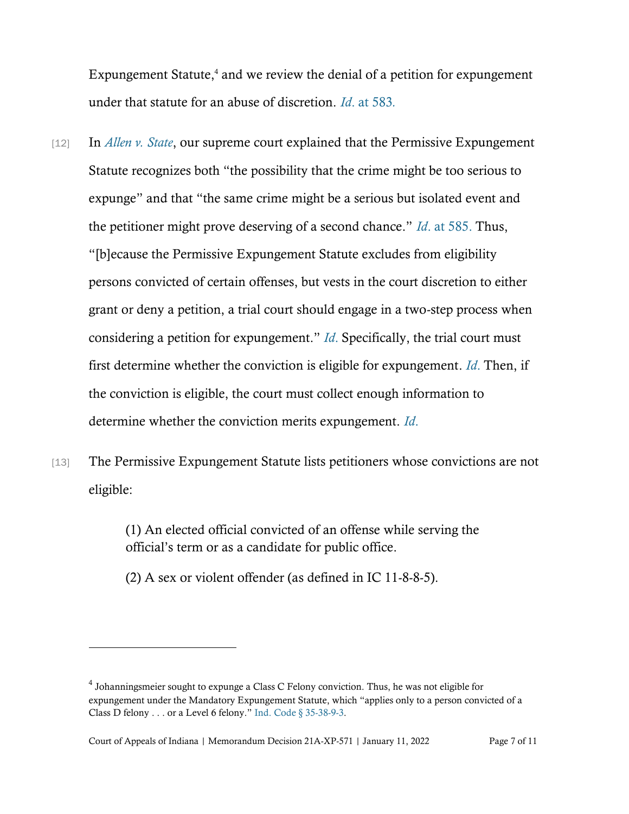Expungement Statute, <sup>4</sup> and we review the denial of a petition for expungement under that statute for an abuse of discretion. *Id*. [at 583](https://www.westlaw.com/Document/Ib8a214c044a311eb94d5d4e51cfa3c85/View/FullText.html?transitionType=Default&contextData=(sc.Default)&VR=3.0&RS=da3.0)*.*

- [12] In *[Allen v. State](https://www.westlaw.com/Document/Ib8a214c044a311eb94d5d4e51cfa3c85/View/FullText.html?transitionType=Default&contextData=(sc.Default)&VR=3.0&RS=da3.0&fragmentIdentifier=co_pp_sp_7902_582)*, our supreme court explained that the Permissive Expungement Statute recognizes both "the possibility that the crime might be too serious to expunge" and that "the same crime might be a serious but isolated event and the petitioner might prove deserving of a second chance." *Id*. [at 585.](https://www.westlaw.com/Document/Ib8a214c044a311eb94d5d4e51cfa3c85/View/FullText.html?transitionType=Default&contextData=(sc.Default)&VR=3.0&RS=da3.0) Thus, "[b]ecause the Permissive Expungement Statute excludes from eligibility persons convicted of certain offenses, but vests in the court discretion to either grant or deny a petition, a trial court should engage in a two-step process when considering a petition for expungement." *[Id](https://www.westlaw.com/Document/Ib8a214c044a311eb94d5d4e51cfa3c85/View/FullText.html?transitionType=Default&contextData=(sc.Default)&VR=3.0&RS=da3.0)*[.](https://www.westlaw.com/Document/Ib8a214c044a311eb94d5d4e51cfa3c85/View/FullText.html?transitionType=Default&contextData=(sc.Default)&VR=3.0&RS=da3.0) Specifically, the trial court must first determine whether the conviction is eligible for expungement. *[Id](https://www.westlaw.com/Document/Ib8a214c044a311eb94d5d4e51cfa3c85/View/FullText.html?transitionType=Default&contextData=(sc.Default)&VR=3.0&RS=da3.0)*[.](https://www.westlaw.com/Document/Ib8a214c044a311eb94d5d4e51cfa3c85/View/FullText.html?transitionType=Default&contextData=(sc.Default)&VR=3.0&RS=da3.0) Then, if the conviction is eligible, the court must collect enough information to determine whether the conviction merits expungement. *[Id](https://www.westlaw.com/Document/Ib8a214c044a311eb94d5d4e51cfa3c85/View/FullText.html?transitionType=Default&contextData=(sc.Default)&VR=3.0&RS=da3.0)*[.](https://www.westlaw.com/Document/Ib8a214c044a311eb94d5d4e51cfa3c85/View/FullText.html?transitionType=Default&contextData=(sc.Default)&VR=3.0&RS=da3.0)
- [13] The Permissive Expungement Statute lists petitioners whose convictions are not eligible:

(1) An elected official convicted of an offense while serving the official's term or as a candidate for public office.

(2) A sex or violent offender (as defined in IC 11-8-8-5).

 $^4$  Johanningsmeier sought to expunge a Class C Felony conviction. Thus, he was not eligible for expungement under the Mandatory Expungement Statute, which "applies only to a person convicted of a Class D felony . . . or a Level 6 felony." [Ind. Code § 35-38-9-3.](https://1.next.westlaw.com/Link/Document/FullText?findType=L&pubNum=1000009&cite=INS35-38-9-3&originatingDoc=N8B3574E0BF7411EBBFE89BEC03D13B2E&refType=LQ&originationContext=document&transitionType=DocumentItem&ppcid=ee45e0a561694dbf9d9b1599ed42bcf7&contextData=(sc.Category))

Court of Appeals of Indiana | Memorandum Decision 21A-XP-571 | January 11, 2022 Page 7 of 11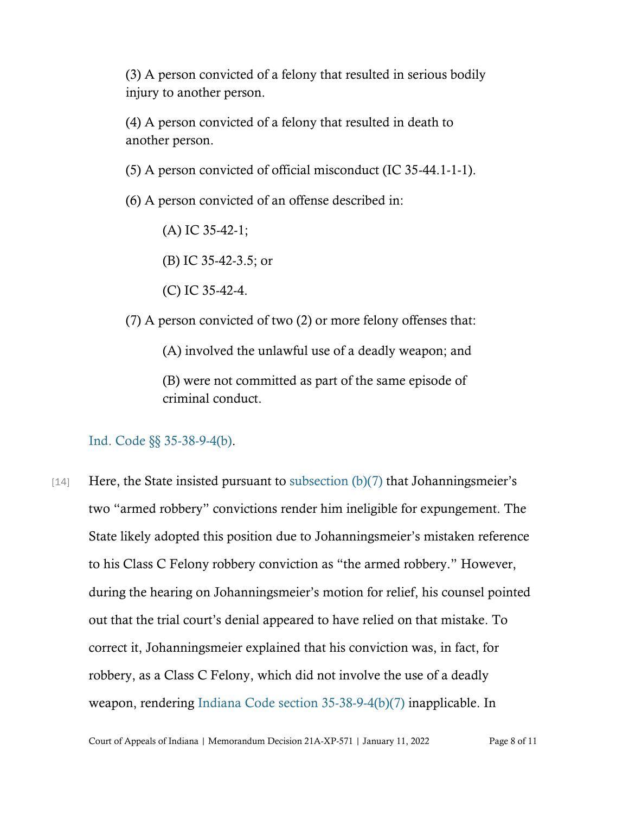(3) A person convicted of a felony that resulted in serious bodily injury to another person.

(4) A person convicted of a felony that resulted in death to another person.

(5) A person convicted of official misconduct (IC 35-44.1-1-1).

(6) A person convicted of an offense described in:

(A) IC 35-42-1;

(B) IC 35-42-3.5; or

(C) IC 35-42-4.

(7) A person convicted of two (2) or more felony offenses that:

(A) involved the unlawful use of a deadly weapon; and

(B) were not committed as part of the same episode of criminal conduct.

### [Ind. Code §§ 35-38-9-4\(b\).](https://www.westlaw.com/Document/N8B3574E0BF7411EBBFE89BEC03D13B2E/View/FullText.html?transitionType=Default&contextData=(sc.Default)&VR=3.0&RS=da3.0)

[14] Here, the State insisted pursuant to [subsection \(b\)\(7\)](https://www.westlaw.com/Document/N8B3574E0BF7411EBBFE89BEC03D13B2E/View/FullText.html?transitionType=Default&contextData=(sc.Default)&VR=3.0&RS=da3.0) that Johanningsmeier's two "armed robbery" convictions render him ineligible for expungement. The State likely adopted this position due to Johanningsmeier's mistaken reference to his Class C Felony robbery conviction as "the armed robbery." However, during the hearing on Johanningsmeier's motion for relief, his counsel pointed out that the trial court's denial appeared to have relied on that mistake. To correct it, Johanningsmeier explained that his conviction was, in fact, for robbery, as a Class C Felony, which did not involve the use of a deadly weapon, rendering [Indiana Code section 35-38-9-4\(b\)\(7\)](https://www.westlaw.com/Document/N8B3574E0BF7411EBBFE89BEC03D13B2E/View/FullText.html?transitionType=Default&contextData=(sc.Default)&VR=3.0&RS=da3.0) inapplicable. In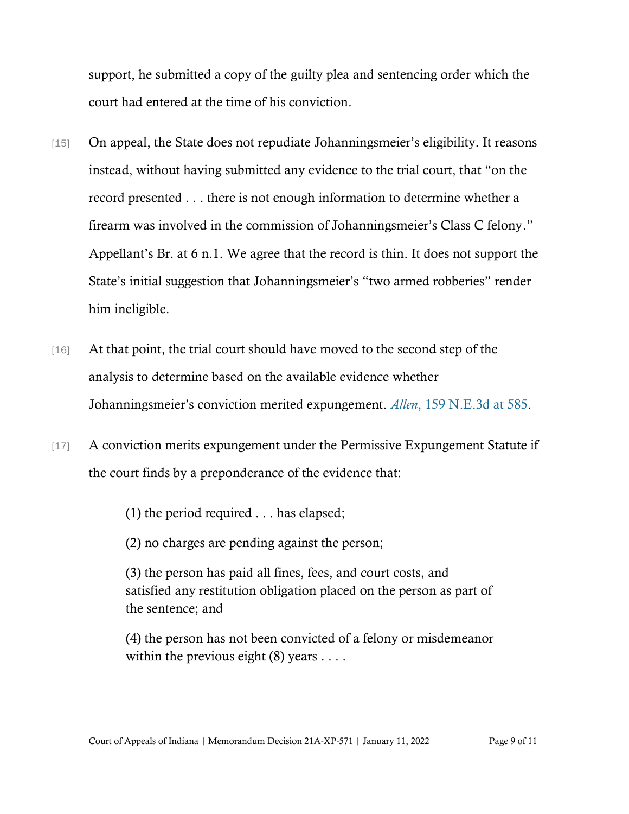support, he submitted a copy of the guilty plea and sentencing order which the court had entered at the time of his conviction.

- [15] On appeal, the State does not repudiate Johanningsmeier's eligibility. It reasons instead, without having submitted any evidence to the trial court, that "on the record presented . . . there is not enough information to determine whether a firearm was involved in the commission of Johanningsmeier's Class C felony." Appellant's Br. at 6 n.1. We agree that the record is thin. It does not support the State's initial suggestion that Johanningsmeier's "two armed robberies" render him ineligible.
- [16] At that point, the trial court should have moved to the second step of the analysis to determine based on the available evidence whether Johanningsmeier's conviction merited expungement. *[Allen](https://www.westlaw.com/Document/Ib8a214c044a311eb94d5d4e51cfa3c85/View/FullText.html?transitionType=Default&contextData=(sc.Default)&VR=3.0&RS=da3.0&fragmentIdentifier=co_pp_sp_7902_585)*[, 159 N.E.3d at 585.](https://www.westlaw.com/Document/Ib8a214c044a311eb94d5d4e51cfa3c85/View/FullText.html?transitionType=Default&contextData=(sc.Default)&VR=3.0&RS=da3.0&fragmentIdentifier=co_pp_sp_7902_585)
- [17] A conviction merits expungement under the Permissive Expungement Statute if the court finds by a preponderance of the evidence that:

(1) the period required . . . has elapsed;

(2) no charges are pending against the person;

(3) the person has paid all fines, fees, and court costs, and satisfied any restitution obligation placed on the person as part of the sentence; and

(4) the person has not been convicted of a felony or misdemeanor within the previous eight  $(8)$  years . . . .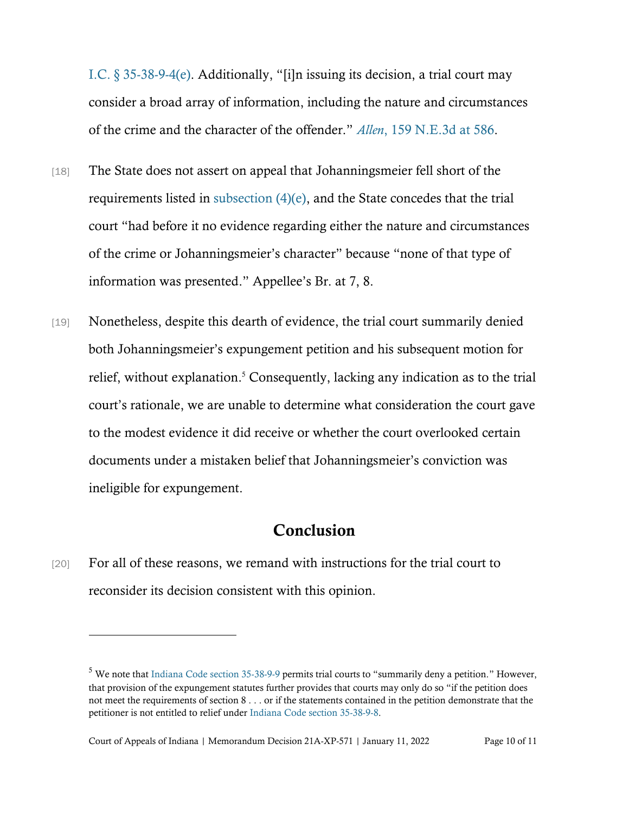[I.C. § 35-38-9-4\(e\).](https://www.westlaw.com/Document/N8B3574E0BF7411EBBFE89BEC03D13B2E/View/FullText.html?transitionType=Default&contextData=(sc.Default)&VR=3.0&RS=cblt1.0) Additionally, "[i]n issuing its decision, a trial court may consider a broad array of information, including the nature and circumstances of the crime and the character of the offender." *Allen*[, 159 N.E.3d at 586.](https://www.westlaw.com/Document/Ib8a214c044a311eb94d5d4e51cfa3c85/View/FullText.html?transitionType=Default&contextData=(sc.Default)&VR=3.0&RS=da3.0&fragmentIdentifier=co_pp_sp_7902_585)

- [18] The State does not assert on appeal that Johanningsmeier fell short of the requirements listed in [subsection \(4\)\(e\),](https://www.westlaw.com/Document/N8B3574E0BF7411EBBFE89BEC03D13B2E/View/FullText.html?transitionType=Default&contextData=(sc.Default)&VR=3.0&RS=cblt1.0) and the State concedes that the trial court "had before it no evidence regarding either the nature and circumstances of the crime or Johanningsmeier's character" because "none of that type of information was presented." Appellee's Br. at 7, 8.
- [19] Nonetheless, despite this dearth of evidence, the trial court summarily denied both Johanningsmeier's expungement petition and his subsequent motion for relief, without explanation. <sup>5</sup> Consequently, lacking any indication as to the trial court's rationale, we are unable to determine what consideration the court gave to the modest evidence it did receive or whether the court overlooked certain documents under a mistaken belief that Johanningsmeier's conviction was ineligible for expungement.

## **Conclusion**

[20] For all of these reasons, we remand with instructions for the trial court to reconsider its decision consistent with this opinion.

<sup>5</sup> We note that [Indiana Code section 35-38-9-9](https://1.next.westlaw.com/Document/N7C9F6380909811E984C6B72F156B0EC8/View/FullText.html?originationContext=documenttoc&transitionType=CategoryPageItem&contextData=(sc.Default)) permits trial courts to "summarily deny a petition." However, that provision of the expungement statutes further provides that courts may only do so "if the petition does not meet the requirements of section 8 . . . or if the statements contained in the petition demonstrate that the petitioner is not entitled to relief under [Indiana Code section 35-38-9-8.](https://1.next.westlaw.com/Link/Document/FullText?findType=L&pubNum=1000009&cite=INS35-38-9-8&originatingDoc=N7C9F6380909811E984C6B72F156B0EC8&refType=LQ&originationContext=document&transitionType=DocumentItem&ppcid=1f085e29ebf745a99cfff9ca727e2eeb&contextData=(sc.Category))